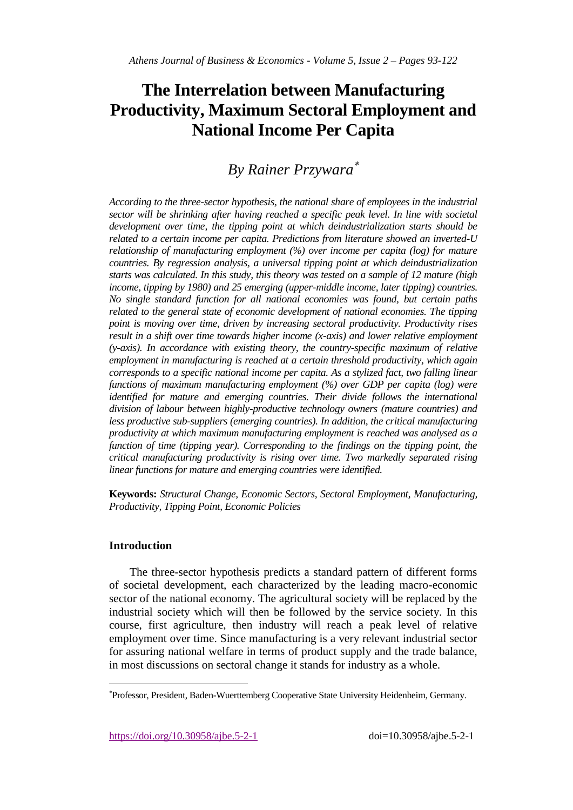# **The Interrelation between Manufacturing Productivity, Maximum Sectoral Employment and National Income Per Capita**

## *By Rainer Przywara*

*According to the three-sector hypothesis, the national share of employees in the industrial sector will be shrinking after having reached a specific peak level. In line with societal development over time, the tipping point at which deindustrialization starts should be related to a certain income per capita. Predictions from literature showed an inverted-U relationship of manufacturing employment (%) over income per capita (log) for mature countries. By regression analysis, a universal tipping point at which deindustrialization starts was calculated. In this study, this theory was tested on a sample of 12 mature (high income, tipping by 1980) and 25 emerging (upper-middle income, later tipping) countries. No single standard function for all national economies was found, but certain paths related to the general state of economic development of national economies. The tipping point is moving over time, driven by increasing sectoral productivity. Productivity rises result in a shift over time towards higher income (x-axis) and lower relative employment (y-axis). In accordance with existing theory, the country-specific maximum of relative employment in manufacturing is reached at a certain threshold productivity, which again corresponds to a specific national income per capita. As a stylized fact, two falling linear functions of maximum manufacturing employment (%) over GDP per capita (log) were identified for mature and emerging countries. Their divide follows the international division of labour between highly-productive technology owners (mature countries) and less productive sub-suppliers (emerging countries). In addition, the critical manufacturing productivity at which maximum manufacturing employment is reached was analysed as a function of time (tipping year). Corresponding to the findings on the tipping point, the critical manufacturing productivity is rising over time. Two markedly separated rising linear functions for mature and emerging countries were identified.*

**Keywords:** *Structural Change, Economic Sectors, Sectoral Employment, Manufacturing, Productivity, Tipping Point, Economic Policies*

## **Introduction**

 $\overline{a}$ 

The three-sector hypothesis predicts a standard pattern of different forms of societal development, each characterized by the leading macro-economic sector of the national economy. The agricultural society will be replaced by the industrial society which will then be followed by the service society. In this course, first agriculture, then industry will reach a peak level of relative employment over time. Since manufacturing is a very relevant industrial sector for assuring national welfare in terms of product supply and the trade balance, in most discussions on sectoral change it stands for industry as a whole.

<https://doi.org/10.30958/ajbe.5-2-1>doi=10.30958/ajbe.5-2-1

Professor, President, Baden-Wuerttemberg Cooperative State University Heidenheim, Germany.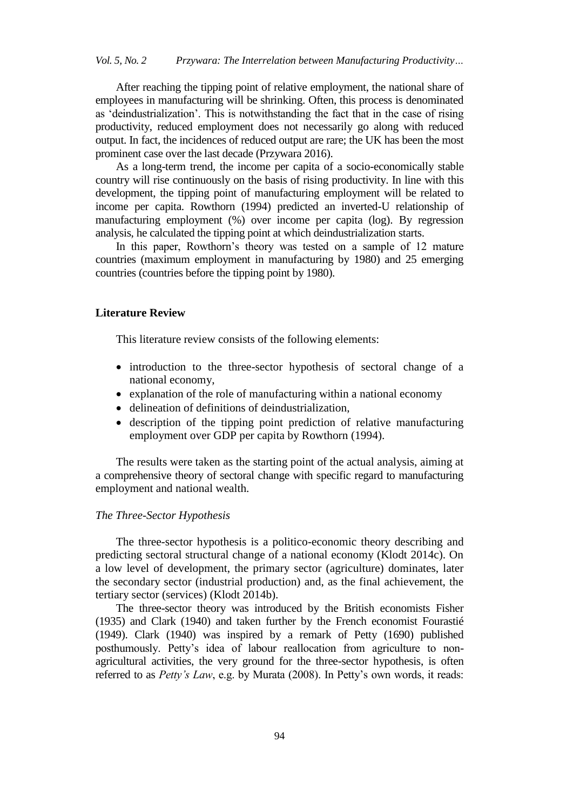After reaching the tipping point of relative employment, the national share of employees in manufacturing will be shrinking. Often, this process is denominated as "deindustrialization". This is notwithstanding the fact that in the case of rising productivity, reduced employment does not necessarily go along with reduced output. In fact, the incidences of reduced output are rare; the UK has been the most prominent case over the last decade (Przywara 2016).

As a long-term trend, the income per capita of a socio-economically stable country will rise continuously on the basis of rising productivity. In line with this development, the tipping point of manufacturing employment will be related to income per capita. Rowthorn (1994) predicted an inverted-U relationship of manufacturing employment (%) over income per capita (log). By regression analysis, he calculated the tipping point at which deindustrialization starts.

In this paper, Rowthorn's theory was tested on a sample of 12 mature countries (maximum employment in manufacturing by 1980) and 25 emerging countries (countries before the tipping point by 1980).

#### **Literature Review**

This literature review consists of the following elements:

- introduction to the three-sector hypothesis of sectoral change of a national economy,
- explanation of the role of manufacturing within a national economy
- delineation of definitions of deindustrialization,
- description of the tipping point prediction of relative manufacturing employment over GDP per capita by Rowthorn (1994).

The results were taken as the starting point of the actual analysis, aiming at a comprehensive theory of sectoral change with specific regard to manufacturing employment and national wealth.

#### *The Three-Sector Hypothesis*

The three-sector hypothesis is a politico-economic theory describing and predicting sectoral structural change of a national economy (Klodt 2014c). On a low level of development, the primary sector (agriculture) dominates, later the secondary sector (industrial production) and, as the final achievement, the tertiary sector (services) (Klodt 2014b).

The three-sector theory was introduced by the British economists Fisher (1935) and Clark (1940) and taken further by the French economist Fourastié (1949). Clark (1940) was inspired by a remark of Petty (1690) published posthumously. Petty"s idea of labour reallocation from agriculture to nonagricultural activities, the very ground for the three-sector hypothesis, is often referred to as *Petty's Law*, e.g. by Murata (2008). In Petty's own words, it reads: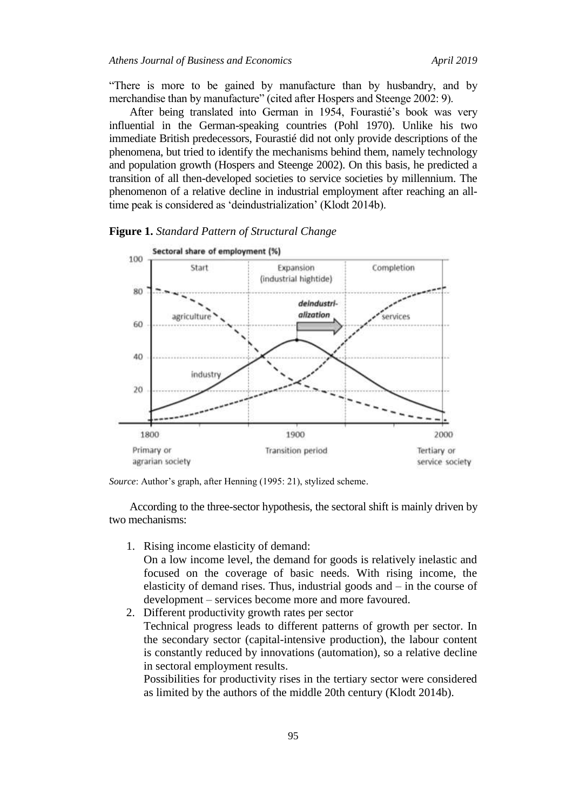"There is more to be gained by manufacture than by husbandry, and by merchandise than by manufacture" (cited after Hospers and Steenge 2002: 9).

After being translated into German in 1954, Fourastié's book was very influential in the German-speaking countries (Pohl 1970). Unlike his two immediate British predecessors, Fourastié did not only provide descriptions of the phenomena, but tried to identify the mechanisms behind them, namely technology and population growth (Hospers and Steenge 2002). On this basis, he predicted a transition of all then-developed societies to service societies by millennium. The phenomenon of a relative decline in industrial employment after reaching an alltime peak is considered as "deindustrialization" (Klodt 2014b).



**Figure 1.** *Standard Pattern of Structural Change*

Source: Author's graph, after Henning (1995: 21), stylized scheme.

According to the three-sector hypothesis, the sectoral shift is mainly driven by two mechanisms:

1. Rising income elasticity of demand:

On a low income level, the demand for goods is relatively inelastic and focused on the coverage of basic needs. With rising income, the elasticity of demand rises. Thus, industrial goods and – in the course of development – services become more and more favoured.

2. Different productivity growth rates per sector Technical progress leads to different patterns of growth per sector. In the secondary sector (capital-intensive production), the labour content is constantly reduced by innovations (automation), so a relative decline in sectoral employment results.

Possibilities for productivity rises in the tertiary sector were considered as limited by the authors of the middle 20th century (Klodt 2014b).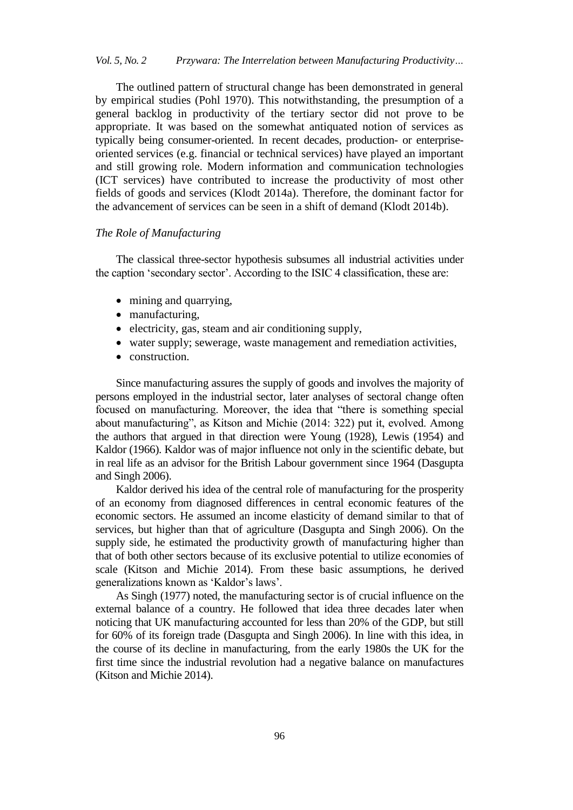The outlined pattern of structural change has been demonstrated in general by empirical studies (Pohl 1970). This notwithstanding, the presumption of a general backlog in productivity of the tertiary sector did not prove to be appropriate. It was based on the somewhat antiquated notion of services as typically being consumer-oriented. In recent decades, production- or enterpriseoriented services (e.g. financial or technical services) have played an important and still growing role. Modern information and communication technologies (ICT services) have contributed to increase the productivity of most other fields of goods and services (Klodt 2014a). Therefore, the dominant factor for the advancement of services can be seen in a shift of demand (Klodt 2014b).

#### *The Role of Manufacturing*

The classical three-sector hypothesis subsumes all industrial activities under the caption "secondary sector". According to the ISIC 4 classification, these are:

- mining and quarrying,
- manufacturing,
- electricity, gas, steam and air conditioning supply,
- water supply; sewerage, waste management and remediation activities,
- construction.

Since manufacturing assures the supply of goods and involves the majority of persons employed in the industrial sector, later analyses of sectoral change often focused on manufacturing. Moreover, the idea that "there is something special about manufacturing", as Kitson and Michie (2014: 322) put it, evolved. Among the authors that argued in that direction were Young (1928), Lewis (1954) and Kaldor (1966). Kaldor was of major influence not only in the scientific debate, but in real life as an advisor for the British Labour government since 1964 (Dasgupta and Singh 2006).

Kaldor derived his idea of the central role of manufacturing for the prosperity of an economy from diagnosed differences in central economic features of the economic sectors. He assumed an income elasticity of demand similar to that of services, but higher than that of agriculture (Dasgupta and Singh 2006). On the supply side, he estimated the productivity growth of manufacturing higher than that of both other sectors because of its exclusive potential to utilize economies of scale (Kitson and Michie 2014). From these basic assumptions, he derived generalizations known as "Kaldor"s laws".

As Singh (1977) noted, the manufacturing sector is of crucial influence on the external balance of a country. He followed that idea three decades later when noticing that UK manufacturing accounted for less than 20% of the GDP, but still for 60% of its foreign trade (Dasgupta and Singh 2006). In line with this idea, in the course of its decline in manufacturing, from the early 1980s the UK for the first time since the industrial revolution had a negative balance on manufactures (Kitson and Michie 2014).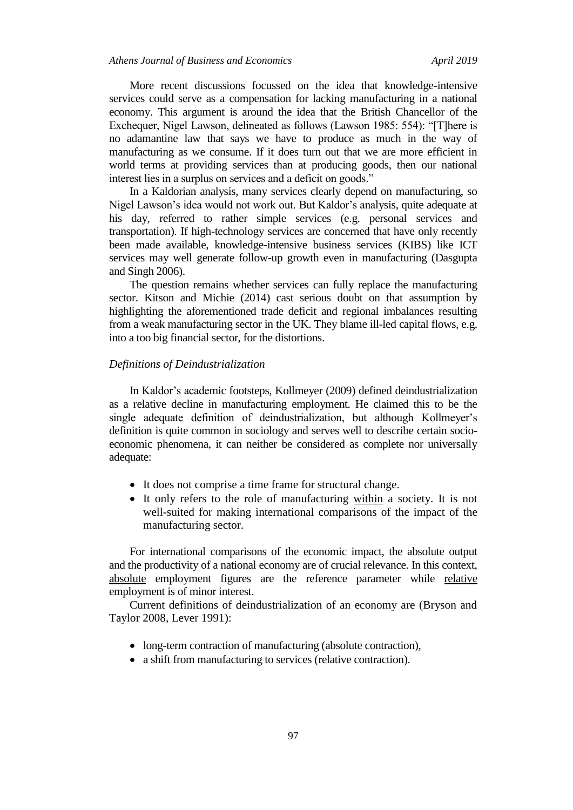More recent discussions focussed on the idea that knowledge-intensive services could serve as a compensation for lacking manufacturing in a national economy. This argument is around the idea that the British Chancellor of the Exchequer, Nigel Lawson, delineated as follows (Lawson 1985: 554): "[T]here is no adamantine law that says we have to produce as much in the way of manufacturing as we consume. If it does turn out that we are more efficient in world terms at providing services than at producing goods, then our national interest lies in a surplus on services and a deficit on goods."

In a Kaldorian analysis, many services clearly depend on manufacturing, so Nigel Lawson"s idea would not work out. But Kaldor"s analysis, quite adequate at his day, referred to rather simple services (e.g. personal services and transportation). If high-technology services are concerned that have only recently been made available, knowledge-intensive business services (KIBS) like ICT services may well generate follow-up growth even in manufacturing (Dasgupta and Singh 2006).

The question remains whether services can fully replace the manufacturing sector. Kitson and Michie (2014) cast serious doubt on that assumption by highlighting the aforementioned trade deficit and regional imbalances resulting from a weak manufacturing sector in the UK. They blame ill-led capital flows, e.g. into a too big financial sector, for the distortions.

## *Definitions of Deindustrialization*

In Kaldor"s academic footsteps, Kollmeyer (2009) defined deindustrialization as a relative decline in manufacturing employment. He claimed this to be the single adequate definition of deindustrialization, but although Kollmeyer's definition is quite common in sociology and serves well to describe certain socioeconomic phenomena, it can neither be considered as complete nor universally adequate:

- It does not comprise a time frame for structural change.
- It only refers to the role of manufacturing within a society. It is not well-suited for making international comparisons of the impact of the manufacturing sector.

For international comparisons of the economic impact, the absolute output and the productivity of a national economy are of crucial relevance. In this context, absolute employment figures are the reference parameter while relative employment is of minor interest.

Current definitions of deindustrialization of an economy are (Bryson and Taylor 2008, Lever 1991):

- long-term contraction of manufacturing (absolute contraction),
- a shift from manufacturing to services (relative contraction).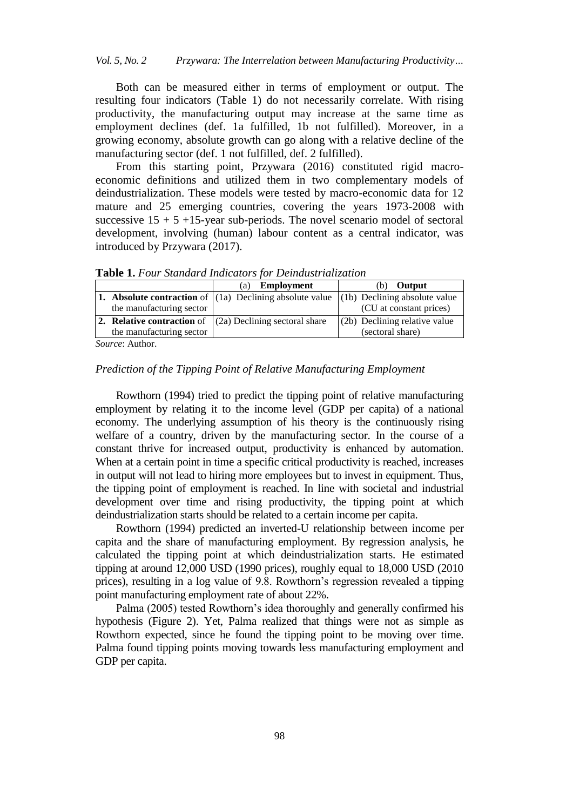Both can be measured either in terms of employment or output. The resulting four indicators (Table 1) do not necessarily correlate. With rising productivity, the manufacturing output may increase at the same time as employment declines (def. 1a fulfilled, 1b not fulfilled). Moreover, in a growing economy, absolute growth can go along with a relative decline of the manufacturing sector (def. 1 not fulfilled, def. 2 fulfilled).

From this starting point, Przywara (2016) constituted rigid macroeconomic definitions and utilized them in two complementary models of deindustrialization. These models were tested by macro-economic data for 12 mature and 25 emerging countries, covering the years 1973-2008 with successive  $15 + 5 +15$ -year sub-periods. The novel scenario model of sectoral development, involving (human) labour content as a central indicator, was introduced by Przywara (2017).

|                               | <b>EXAMPLE 21</b> 2 0 km Dechected by Theoretic Form Detriction relationship                        |                               |
|-------------------------------|-----------------------------------------------------------------------------------------------------|-------------------------------|
|                               | Employment<br>(a)                                                                                   | <b>Output</b><br>d۰).         |
|                               | <b>1.</b> Absolute contraction of $ (1a)$ Declining absolute value $ (1b)$ Declining absolute value |                               |
| the manufacturing sector      |                                                                                                     | (CU at constant prices)       |
|                               | 2. Relative contraction of $\vert$ (2a) Declining sectoral share                                    | (2b) Declining relative value |
| the manufacturing sector      |                                                                                                     | (sectoral share)              |
| $C = \ldots = \ldots$ A $= 1$ |                                                                                                     |                               |

**Table 1.** *Four Standard Indicators for Deindustrialization*

*Source*: Author.

## *Prediction of the Tipping Point of Relative Manufacturing Employment*

Rowthorn (1994) tried to predict the tipping point of relative manufacturing employment by relating it to the income level (GDP per capita) of a national economy. The underlying assumption of his theory is the continuously rising welfare of a country, driven by the manufacturing sector. In the course of a constant thrive for increased output, productivity is enhanced by automation. When at a certain point in time a specific critical productivity is reached, increases in output will not lead to hiring more employees but to invest in equipment. Thus, the tipping point of employment is reached. In line with societal and industrial development over time and rising productivity, the tipping point at which deindustrialization starts should be related to a certain income per capita.

Rowthorn (1994) predicted an inverted-U relationship between income per capita and the share of manufacturing employment. By regression analysis, he calculated the tipping point at which deindustrialization starts. He estimated tipping at around 12,000 USD (1990 prices), roughly equal to 18,000 USD (2010 prices), resulting in a log value of 9.8. Rowthorn"s regression revealed a tipping point manufacturing employment rate of about 22%.

Palma (2005) tested Rowthorn"s idea thoroughly and generally confirmed his hypothesis (Figure 2). Yet, Palma realized that things were not as simple as Rowthorn expected, since he found the tipping point to be moving over time. Palma found tipping points moving towards less manufacturing employment and GDP per capita.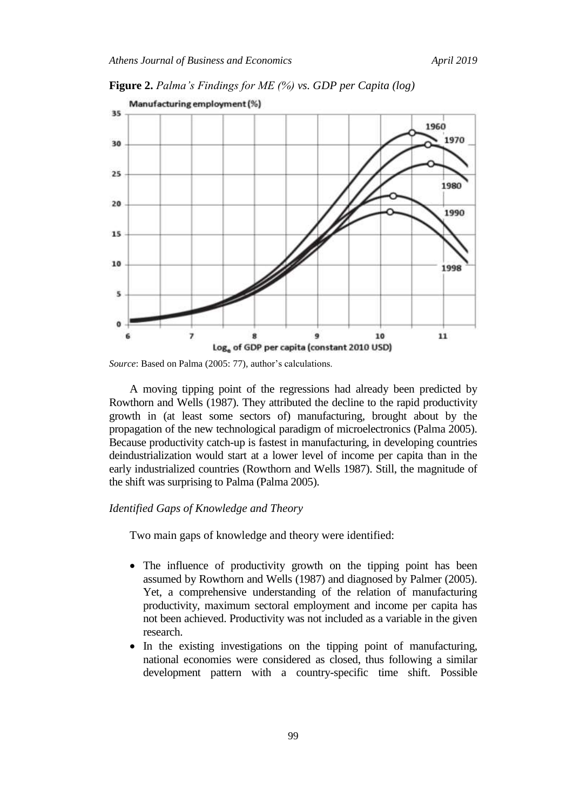

**Figure 2.** *Palma's Findings for ME (%) vs. GDP per Capita (log)*

A moving tipping point of the regressions had already been predicted by Rowthorn and Wells (1987). They attributed the decline to the rapid productivity growth in (at least some sectors of) manufacturing, brought about by the propagation of the new technological paradigm of microelectronics (Palma 2005). Because productivity catch-up is fastest in manufacturing, in developing countries deindustrialization would start at a lower level of income per capita than in the early industrialized countries (Rowthorn and Wells 1987). Still, the magnitude of the shift was surprising to Palma (Palma 2005).

## *Identified Gaps of Knowledge and Theory*

Two main gaps of knowledge and theory were identified:

- The influence of productivity growth on the tipping point has been assumed by Rowthorn and Wells (1987) and diagnosed by Palmer (2005). Yet, a comprehensive understanding of the relation of manufacturing productivity, maximum sectoral employment and income per capita has not been achieved. Productivity was not included as a variable in the given research.
- In the existing investigations on the tipping point of manufacturing, national economies were considered as closed, thus following a similar development pattern with a country-specific time shift. Possible

*Source*: Based on Palma (2005: 77), author's calculations.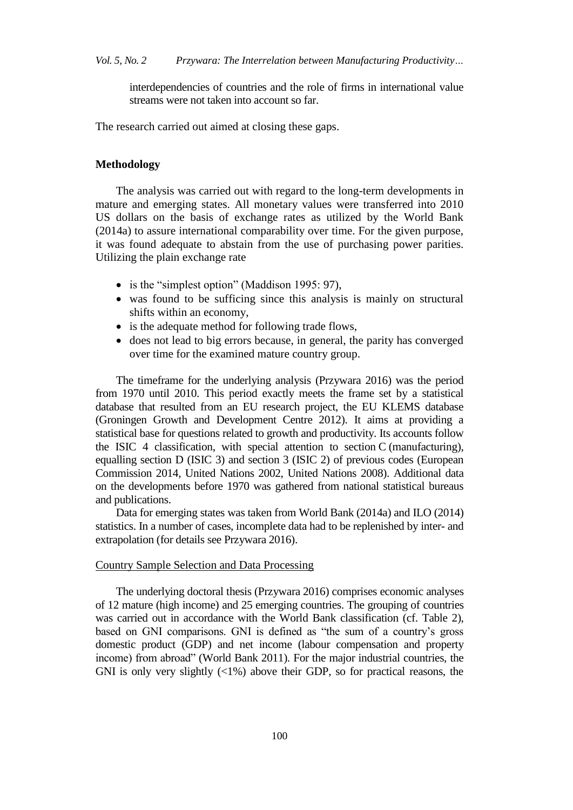interdependencies of countries and the role of firms in international value streams were not taken into account so far.

The research carried out aimed at closing these gaps.

## **Methodology**

The analysis was carried out with regard to the long-term developments in mature and emerging states. All monetary values were transferred into 2010 US dollars on the basis of exchange rates as utilized by the World Bank (2014a) to assure international comparability over time. For the given purpose, it was found adequate to abstain from the use of purchasing power parities. Utilizing the plain exchange rate

- is the "simplest option" (Maddison 1995: 97),
- was found to be sufficing since this analysis is mainly on structural shifts within an economy,
- is the adequate method for following trade flows,
- does not lead to big errors because, in general, the parity has converged over time for the examined mature country group.

The timeframe for the underlying analysis (Przywara 2016) was the period from 1970 until 2010. This period exactly meets the frame set by a statistical database that resulted from an EU research project, the EU KLEMS database (Groningen Growth and Development Centre 2012). It aims at providing a statistical base for questions related to growth and productivity. Its accounts follow the ISIC 4 classification, with special attention to section C (manufacturing), equalling section D (ISIC 3) and section 3 (ISIC 2) of previous codes (European Commission 2014, United Nations 2002, United Nations 2008). Additional data on the developments before 1970 was gathered from national statistical bureaus and publications.

Data for emerging states was taken from World Bank (2014a) and ILO (2014) statistics. In a number of cases, incomplete data had to be replenished by inter- and extrapolation (for details see Przywara 2016).

## Country Sample Selection and Data Processing

The underlying doctoral thesis (Przywara 2016) comprises economic analyses of 12 mature (high income) and 25 emerging countries. The grouping of countries was carried out in accordance with the World Bank classification (cf. Table 2), based on GNI comparisons. GNI is defined as "the sum of a country"s gross domestic product (GDP) and net income (labour compensation and property income) from abroad" (World Bank 2011). For the major industrial countries, the GNI is only very slightly  $\langle \langle 1\% \rangle$  above their GDP, so for practical reasons, the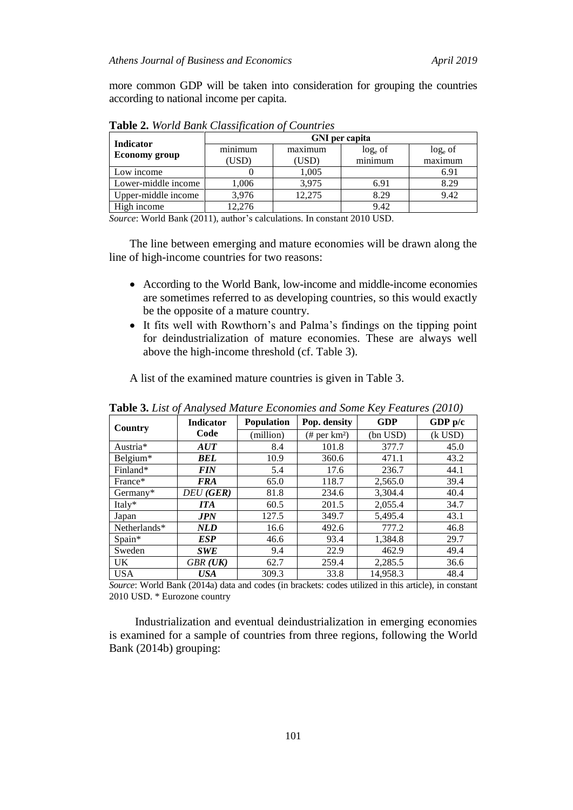more common GDP will be taken into consideration for grouping the countries according to national income per capita.

| <b>Indicator</b>     | <b>GNI</b> per capita |         |            |            |  |  |  |  |
|----------------------|-----------------------|---------|------------|------------|--|--|--|--|
|                      | minimum               | maximum | $log_e$ of | $log_e$ of |  |  |  |  |
| <b>Economy group</b> | (USD)                 | (USD)   | minimum    | maximum    |  |  |  |  |
| Low income           |                       | 1,005   |            | 6.91       |  |  |  |  |
| Lower-middle income  | 1,006                 | 3,975   | 6.91       | 8.29       |  |  |  |  |
| Upper-middle income  | 3,976                 | 12.275  | 8.29       | 9.42       |  |  |  |  |
| High income          | 12.276                |         | 9.42       |            |  |  |  |  |

**Table 2.** *World Bank Classification of Countries*

*Source*: World Bank (2011), author's calculations. In constant 2010 USD.

The line between emerging and mature economies will be drawn along the line of high-income countries for two reasons:

- According to the World Bank, low-income and middle-income economies are sometimes referred to as developing countries, so this would exactly be the opposite of a mature country.
- It fits well with Rowthorn"s and Palma"s findings on the tipping point for deindustrialization of mature economies. These are always well above the high-income threshold (cf. Table 3).

A list of the examined mature countries is given in Table 3.

| <b>THE CONTRACT CONTRACT CONTRACT CONTRACT CONTRACT CONTRACT (2010)</b> |                  |                   |                             |                          |           |  |  |  |  |  |  |
|-------------------------------------------------------------------------|------------------|-------------------|-----------------------------|--------------------------|-----------|--|--|--|--|--|--|
| Country                                                                 | <b>Indicator</b> | <b>Population</b> | Pop. density                | <b>GDP</b>               | GDP $p/c$ |  |  |  |  |  |  |
|                                                                         | Code             | (million)         | $(\#$ per km <sup>2</sup> ) | $(k$ USD $)$<br>(bn USD) |           |  |  |  |  |  |  |
| Austria*                                                                | AUT              | 8.4               | 101.8                       | 377.7                    | 45.0      |  |  |  |  |  |  |
| Belgium*                                                                | BEL              | 10.9              | 360.6                       | 471.1                    | 43.2      |  |  |  |  |  |  |
| Finland*                                                                | <i>FIN</i>       | 5.4               | 17.6                        | 236.7                    | 44.1      |  |  |  |  |  |  |
| France*                                                                 | <b>FRA</b>       | 65.0              | 118.7                       | 2,565.0                  | 39.4      |  |  |  |  |  |  |
| Germany*                                                                | DEU (GER)        | 81.8              | 234.6                       | 3.304.4                  | 40.4      |  |  |  |  |  |  |
| Italy*                                                                  | <b>ITA</b>       | 60.5              | 201.5                       | 2,055.4                  | 34.7      |  |  |  |  |  |  |
| Japan                                                                   | <b>JPN</b>       | 127.5             | 349.7                       | 5,495.4                  | 43.1      |  |  |  |  |  |  |
| Netherlands*                                                            | <b>NLD</b>       | 16.6              | 492.6                       | 777.2                    | 46.8      |  |  |  |  |  |  |
| Spain*                                                                  | <b>ESP</b>       | 46.6              | 93.4                        | 1,384.8                  | 29.7      |  |  |  |  |  |  |
| Sweden                                                                  | <b>SWE</b>       | 9.4               | 22.9                        | 462.9                    | 49.4      |  |  |  |  |  |  |
| UK.                                                                     | $GBR$ ( $UK$ )   | 62.7              | 259.4                       | 2,285.5                  | 36.6      |  |  |  |  |  |  |
| <b>USA</b>                                                              | <b>USA</b>       | 309.3             | 33.8                        | 14.958.3                 | 48.4      |  |  |  |  |  |  |

**Table 3.** *List of Analysed Mature Economies and Some Key Features (2010)*

*Source*: World Bank (2014a) data and codes (in brackets: codes utilized in this article), in constant 2010 USD. \* Eurozone country

Industrialization and eventual deindustrialization in emerging economies is examined for a sample of countries from three regions, following the World Bank (2014b) grouping: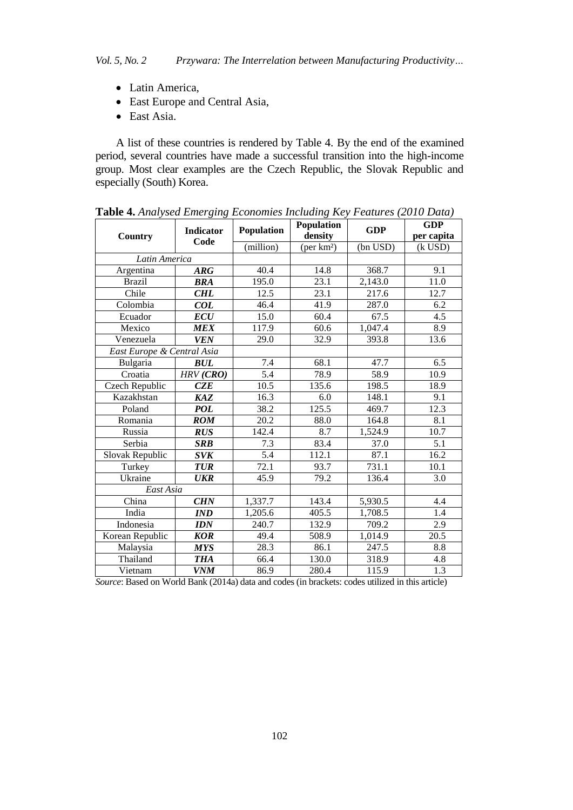- Latin America,
- East Europe and Central Asia,
- East Asia.

A list of these countries is rendered by Table 4. By the end of the examined period, several countries have made a successful transition into the high-income group. Most clear examples are the Czech Republic, the Slovak Republic and especially (South) Korea.

| Country                    | <b>Indicator</b><br>Code | Population<br>(million) | Population<br>density<br>$(\text{per km}^2)$ | <b>GDP</b><br>(bn USD) | <b>GDP</b><br>per capita<br>$(k$ USD) |
|----------------------------|--------------------------|-------------------------|----------------------------------------------|------------------------|---------------------------------------|
| Latin America              |                          |                         |                                              |                        |                                       |
| Argentina                  | <b>ARG</b>               | 40.4                    | 14.8                                         | 368.7                  | 9.1                                   |
| <b>Brazil</b>              | <b>BRA</b>               | 195.0                   | 23.1                                         | 2,143.0                | 11.0                                  |
| Chile                      | <b>CHL</b>               | 12.5                    | 23.1                                         | 217.6                  | 12.7                                  |
| Colombia                   | COL                      | 46.4                    | 41.9                                         | 287.0                  | 6.2                                   |
| Ecuador                    | ECU                      | 15.0                    | 60.4                                         | 67.5                   | 4.5                                   |
| Mexico                     | <b>MEX</b>               | 117.9                   | 60.6                                         | 1,047.4                | 8.9                                   |
| Venezuela                  | <b>VEN</b>               | 29.0                    | 32.9                                         | 393.8                  | 13.6                                  |
| East Europe & Central Asia |                          |                         |                                              |                        |                                       |
| Bulgaria                   | <b>BUL</b>               | 7.4                     | 68.1                                         | 47.7                   | 6.5                                   |
| Croatia                    | HRV(CRO)                 | 5.4                     | 78.9                                         | 58.9                   | 10.9                                  |
| Czech Republic             | CZE                      | 10.5                    | 135.6                                        | 198.5                  | 18.9                                  |
| Kazakhstan                 | <b>KAZ</b>               | 16.3                    | 6.0                                          | 148.1                  | 9.1                                   |
| Poland                     | <b>POL</b>               | 38.2                    | 125.5                                        | 469.7                  | 12.3                                  |
| Romania                    | <b>ROM</b>               | 20.2                    | 88.0                                         | 164.8                  | 8.1                                   |
| Russia                     | RUS                      | 142.4                   | 8.7                                          | 1,524.9                | 10.7                                  |
| Serbia                     | <b>SRB</b>               | 7.3                     | 83.4                                         | 37.0                   | 5.1                                   |
| Slovak Republic            | <b>SVK</b>               | 5.4                     | 112.1                                        | 87.1                   | 16.2                                  |
| Turkey                     | <b>TUR</b>               | 72.1                    | 93.7                                         | 731.1                  | 10.1                                  |
| Ukraine                    | <b>UKR</b>               | 45.9                    | 79.2                                         | 136.4                  | 3.0                                   |
| East Asia                  |                          |                         |                                              |                        |                                       |
| China                      | <b>CHN</b>               | 1,337.7                 | 143.4                                        | 5,930.5                | 4.4                                   |
| India                      | <b>IND</b>               | 1,205.6                 | 405.5                                        | 1,708.5                | 1.4                                   |
| Indonesia                  | <b>IDN</b>               | 240.7                   | 132.9                                        | 709.2                  | 2.9                                   |
| Korean Republic            | <b>KOR</b>               | 49.4                    | 508.9                                        | 1,014.9                | 20.5                                  |
| Malaysia                   | <b>MYS</b>               | 28.3                    | 86.1                                         | 247.5                  | 8.8                                   |
| Thailand                   | <b>THA</b>               | 66.4                    | 130.0                                        | 318.9                  | 4.8                                   |
| Vietnam                    | <b>VNM</b>               | 86.9                    | 280.4                                        | 115.9                  | 1.3                                   |

**Table 4.** *Analysed Emerging Economies Including Key Features (2010 Data)*

*Source*: Based on World Bank (2014a) data and codes (in brackets: codes utilized in this article)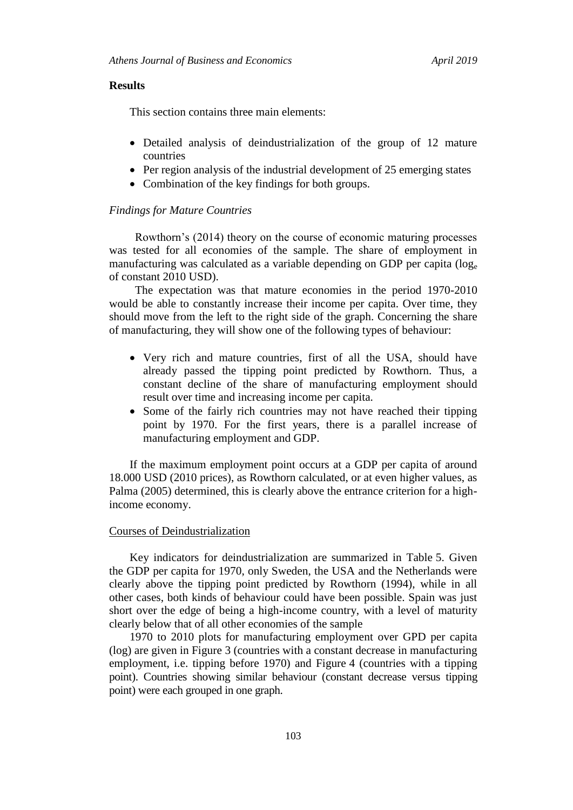#### **Results**

This section contains three main elements:

- Detailed analysis of deindustrialization of the group of 12 mature countries
- Per region analysis of the industrial development of 25 emerging states
- Combination of the key findings for both groups.

#### *Findings for Mature Countries*

Rowthorn"s (2014) theory on the course of economic maturing processes was tested for all economies of the sample. The share of employment in manufacturing was calculated as a variable depending on GDP per capita (log<sub>e</sub>) of constant 2010 USD).

The expectation was that mature economies in the period 1970-2010 would be able to constantly increase their income per capita. Over time, they should move from the left to the right side of the graph. Concerning the share of manufacturing, they will show one of the following types of behaviour:

- Very rich and mature countries, first of all the USA, should have already passed the tipping point predicted by Rowthorn. Thus, a constant decline of the share of manufacturing employment should result over time and increasing income per capita.
- Some of the fairly rich countries may not have reached their tipping point by 1970. For the first years, there is a parallel increase of manufacturing employment and GDP.

If the maximum employment point occurs at a GDP per capita of around 18.000 USD (2010 prices), as Rowthorn calculated, or at even higher values, as Palma (2005) determined, this is clearly above the entrance criterion for a highincome economy.

## Courses of Deindustrialization

Key indicators for deindustrialization are summarized in Table 5. Given the GDP per capita for 1970, only Sweden, the USA and the Netherlands were clearly above the tipping point predicted by Rowthorn (1994), while in all other cases, both kinds of behaviour could have been possible. Spain was just short over the edge of being a high-income country, with a level of maturity clearly below that of all other economies of the sample

1970 to 2010 plots for manufacturing employment over GPD per capita (log) are given in Figure 3 (countries with a constant decrease in manufacturing employment, i.e. tipping before 1970) and Figure 4 (countries with a tipping point). Countries showing similar behaviour (constant decrease versus tipping point) were each grouped in one graph.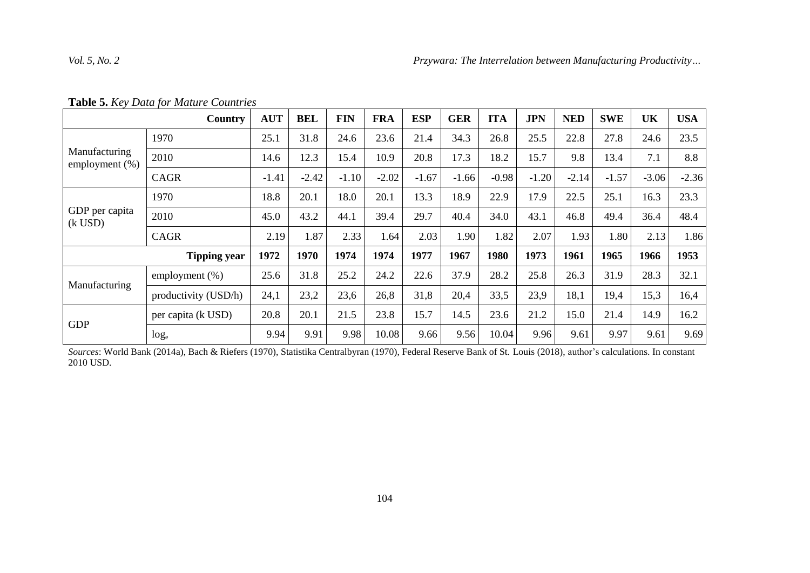|  | Table 5. Key Data for Mature Countries |
|--|----------------------------------------|
|  |                                        |

|                                 | Country              | <b>AUT</b> | <b>BEL</b> | <b>FIN</b> | <b>FRA</b> | <b>ESP</b> | <b>GER</b> | <b>ITA</b> | <b>JPN</b> | <b>NED</b> | <b>SWE</b> | UK      | <b>USA</b> |
|---------------------------------|----------------------|------------|------------|------------|------------|------------|------------|------------|------------|------------|------------|---------|------------|
|                                 | 1970                 | 25.1       | 31.8       | 24.6       | 23.6       | 21.4       | 34.3       | 26.8       | 25.5       | 22.8       | 27.8       | 24.6    | 23.5       |
| Manufacturing<br>employment (%) | 2010                 | 14.6       | 12.3       | 15.4       | 10.9       | 20.8       | 17.3       | 18.2       | 15.7       | 9.8        | 13.4       | 7.1     | 8.8        |
|                                 | <b>CAGR</b>          | $-1.41$    | $-2.42$    | $-1.10$    | $-2.02$    | $-1.67$    | $-1.66$    | $-0.98$    | $-1.20$    | $-2.14$    | $-1.57$    | $-3.06$ | $-2.36$    |
|                                 | 1970                 | 18.8       | 20.1       | 18.0       | 20.1       | 13.3       | 18.9       | 22.9       | 17.9       | 22.5       | 25.1       | 16.3    | 23.3       |
| GDP per capita<br>$(k$ USD $)$  | 2010                 | 45.0       | 43.2       | 44.1       | 39.4       | 29.7       | 40.4       | 34.0       | 43.1       | 46.8       | 49.4       | 36.4    | 48.4       |
|                                 | <b>CAGR</b>          | 2.19       | 1.87       | 2.33       | 1.64       | 2.03       | 1.90       | 1.82       | 2.07       | 1.93       | 1.80       | 2.13    | 1.86       |
|                                 | <b>Tipping year</b>  | 1972       | 1970       | 1974       | 1974       | 1977       | 1967       | 1980       | 1973       | 1961       | 1965       | 1966    | 1953       |
|                                 | employment $(\%)$    | 25.6       | 31.8       | 25.2       | 24.2       | 22.6       | 37.9       | 28.2       | 25.8       | 26.3       | 31.9       | 28.3    | 32.1       |
| Manufacturing                   | productivity (USD/h) | 24,1       | 23,2       | 23,6       | 26,8       | 31,8       | 20,4       | 33,5       | 23,9       | 18,1       | 19,4       | 15,3    | 16,4       |
| <b>GDP</b>                      | per capita (k USD)   | 20.8       | 20.1       | 21.5       | 23.8       | 15.7       | 14.5       | 23.6       | 21.2       | 15.0       | 21.4       | 14.9    | 16.2       |
|                                 | $log_e$              | 9.94       | 9.91       | 9.98       | 10.08      | 9.66       | 9.56       | 10.04      | 9.96       | 9.61       | 9.97       | 9.61    | 9.69       |

*Sources*: World Bank (2014a), Bach & Riefers (1970), Statistika Centralbyran (1970), Federal Reserve Bank of St. Louis (2018), author"s calculations. In constant 2010 USD.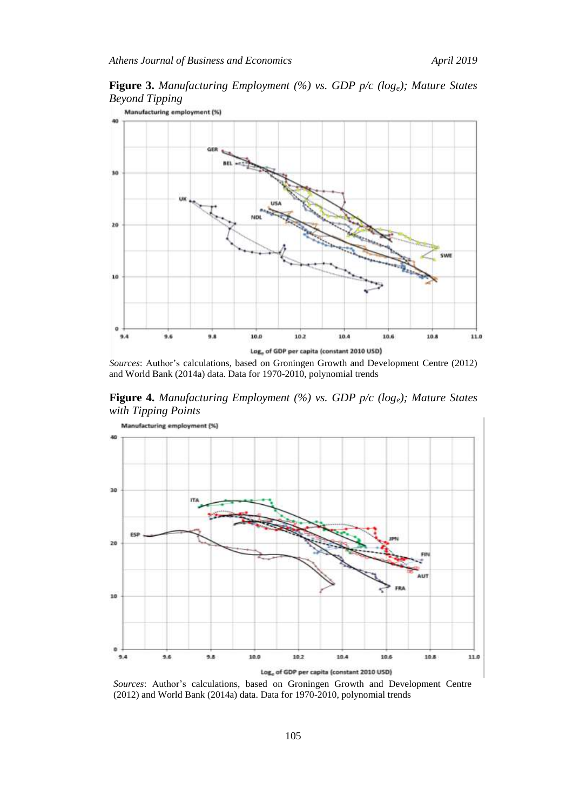**Figure 3.** *Manufacturing Employment (%) vs. GDP p/c (loge); Mature States Beyond Tipping*



*Sources*: Author's calculations, based on Groningen Growth and Development Centre (2012) and World Bank (2014a) data. Data for 1970-2010, polynomial trends

**Figure 4.** *Manufacturing Employment (%) vs. GDP p/c (loge); Mature States with Tipping Points*



Sources: Author's calculations, based on Groningen Growth and Development Centre (2012) and World Bank (2014a) data. Data for 1970-2010, polynomial trends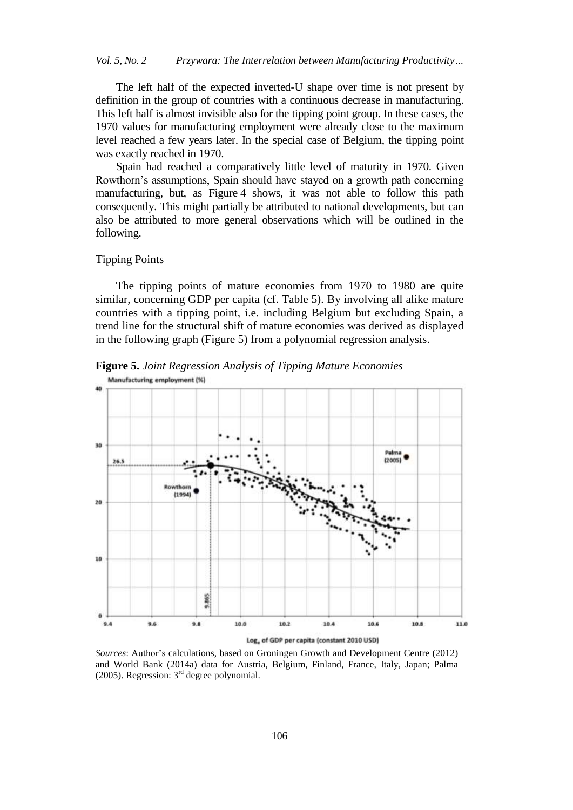The left half of the expected inverted-U shape over time is not present by definition in the group of countries with a continuous decrease in manufacturing. This left half is almost invisible also for the tipping point group. In these cases, the 1970 values for manufacturing employment were already close to the maximum level reached a few years later. In the special case of Belgium, the tipping point was exactly reached in 1970.

Spain had reached a comparatively little level of maturity in 1970. Given Rowthorn"s assumptions, Spain should have stayed on a growth path concerning manufacturing, but, as Figure 4 shows, it was not able to follow this path consequently. This might partially be attributed to national developments, but can also be attributed to more general observations which will be outlined in the following.

## Tipping Points

The tipping points of mature economies from 1970 to 1980 are quite similar, concerning GDP per capita (cf. Table 5). By involving all alike mature countries with a tipping point, i.e. including Belgium but excluding Spain, a trend line for the structural shift of mature economies was derived as displayed in the following graph (Figure 5) from a polynomial regression analysis.



**Figure 5.** *Joint Regression Analysis of Tipping Mature Economies* Manufacturing employment (%)

*Sources*: Author"s calculations, based on Groningen Growth and Development Centre (2012) and World Bank (2014a) data for Austria, Belgium, Finland, France, Italy, Japan; Palma (2005). Regression:  $3<sup>rd</sup>$  degree polynomial.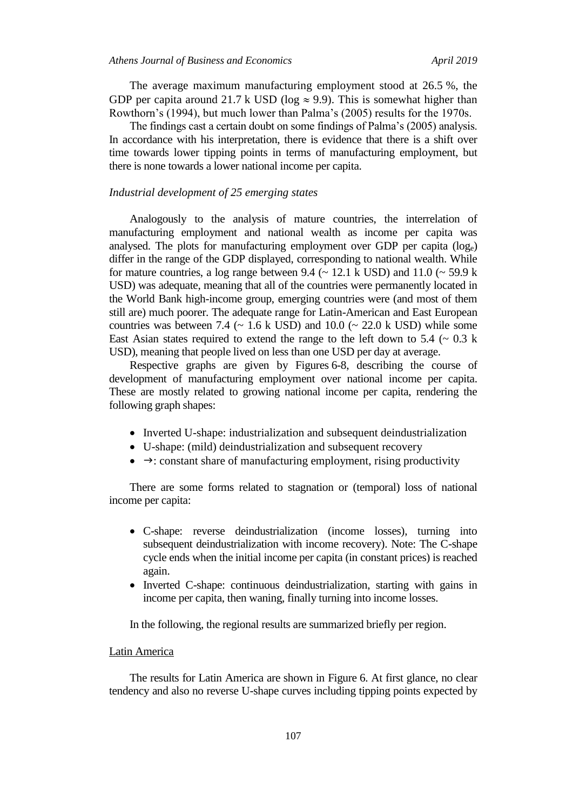The average maximum manufacturing employment stood at 26.5 %, the GDP per capita around 21.7 k USD ( $log \approx 9.9$ ). This is somewhat higher than Rowthorn"s (1994), but much lower than Palma"s (2005) results for the 1970s.

The findings cast a certain doubt on some findings of Palma"s (2005) analysis. In accordance with his interpretation, there is evidence that there is a shift over time towards lower tipping points in terms of manufacturing employment, but there is none towards a lower national income per capita.

#### *Industrial development of 25 emerging states*

Analogously to the analysis of mature countries, the interrelation of manufacturing employment and national wealth as income per capita was analysed. The plots for manufacturing employment over GDP per capita (loge) differ in the range of the GDP displayed, corresponding to national wealth. While for mature countries, a log range between 9.4 ( $\sim$  12.1 k USD) and 11.0 ( $\sim$  59.9 k USD) was adequate, meaning that all of the countries were permanently located in the World Bank high-income group, emerging countries were (and most of them still are) much poorer. The adequate range for Latin-American and East European countries was between 7.4 ( $\sim$  1.6 k USD) and 10.0 ( $\sim$  22.0 k USD) while some East Asian states required to extend the range to the left down to 5.4 ( $\sim$  0.3 k USD), meaning that people lived on less than one USD per day at average.

Respective graphs are given by Figures 6-8, describing the course of development of manufacturing employment over national income per capita. These are mostly related to growing national income per capita, rendering the following graph shapes:

- Inverted U-shape: industrialization and subsequent deindustrialization
- U-shape: (mild) deindustrialization and subsequent recovery
- $\bullet \rightarrow$ : constant share of manufacturing employment, rising productivity

There are some forms related to stagnation or (temporal) loss of national income per capita:

- C-shape: reverse deindustrialization (income losses), turning into subsequent deindustrialization with income recovery). Note: The C-shape cycle ends when the initial income per capita (in constant prices) is reached again.
- Inverted C-shape: continuous deindustrialization, starting with gains in income per capita, then waning, finally turning into income losses.

In the following, the regional results are summarized briefly per region.

#### Latin America

The results for Latin America are shown in Figure 6. At first glance, no clear tendency and also no reverse U-shape curves including tipping points expected by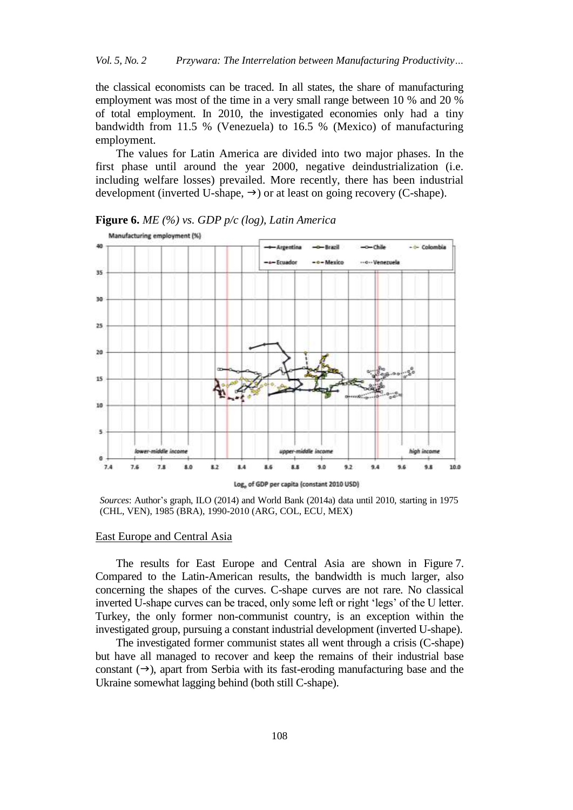the classical economists can be traced. In all states, the share of manufacturing employment was most of the time in a very small range between 10 % and 20 % of total employment. In 2010, the investigated economies only had a tiny bandwidth from 11.5 % (Venezuela) to 16.5 % (Mexico) of manufacturing employment.

The values for Latin America are divided into two major phases. In the first phase until around the year 2000, negative deindustrialization (i.e. including welfare losses) prevailed. More recently, there has been industrial development (inverted U-shape,  $\rightarrow$ ) or at least on going recovery (C-shape).



**Figure 6.** *ME (%) vs. GDP p/c (log), Latin America*

Sources: Author's graph, ILO (2014) and World Bank (2014a) data until 2010, starting in 1975 (CHL, VEN), 1985 (BRA), 1990-2010 (ARG, COL, ECU, MEX)

#### East Europe and Central Asia

The results for East Europe and Central Asia are shown in Figure 7. Compared to the Latin-American results, the bandwidth is much larger, also concerning the shapes of the curves. C-shape curves are not rare. No classical inverted U-shape curves can be traced, only some left or right "legs" of the U letter. Turkey, the only former non-communist country, is an exception within the investigated group, pursuing a constant industrial development (inverted U-shape).

The investigated former communist states all went through a crisis (C-shape) but have all managed to recover and keep the remains of their industrial base constant  $(\rightarrow)$ , apart from Serbia with its fast-eroding manufacturing base and the Ukraine somewhat lagging behind (both still C-shape).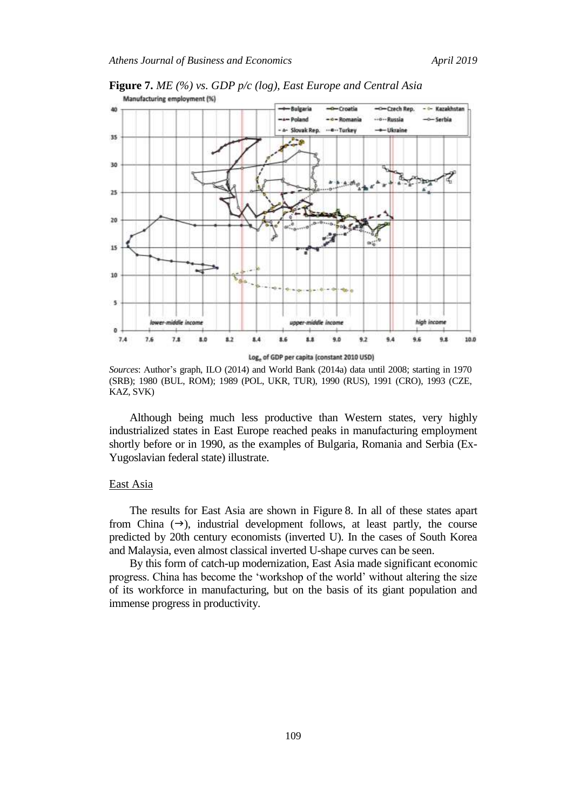

**Figure 7.** *ME (%) vs. GDP p/c (log), East Europe and Central Asia* Manufacturing employment (%)

*Sources*: Author"s graph, ILO (2014) and World Bank (2014a) data until 2008; starting in 1970 (SRB); 1980 (BUL, ROM); 1989 (POL, UKR, TUR), 1990 (RUS), 1991 (CRO), 1993 (CZE, KAZ, SVK)

Although being much less productive than Western states, very highly industrialized states in East Europe reached peaks in manufacturing employment shortly before or in 1990, as the examples of Bulgaria, Romania and Serbia (Ex-Yugoslavian federal state) illustrate.

#### East Asia

The results for East Asia are shown in Figure 8. In all of these states apart from China  $(\rightarrow)$ , industrial development follows, at least partly, the course predicted by 20th century economists (inverted U). In the cases of South Korea and Malaysia, even almost classical inverted U-shape curves can be seen.

By this form of catch-up modernization, East Asia made significant economic progress. China has become the "workshop of the world" without altering the size of its workforce in manufacturing, but on the basis of its giant population and immense progress in productivity.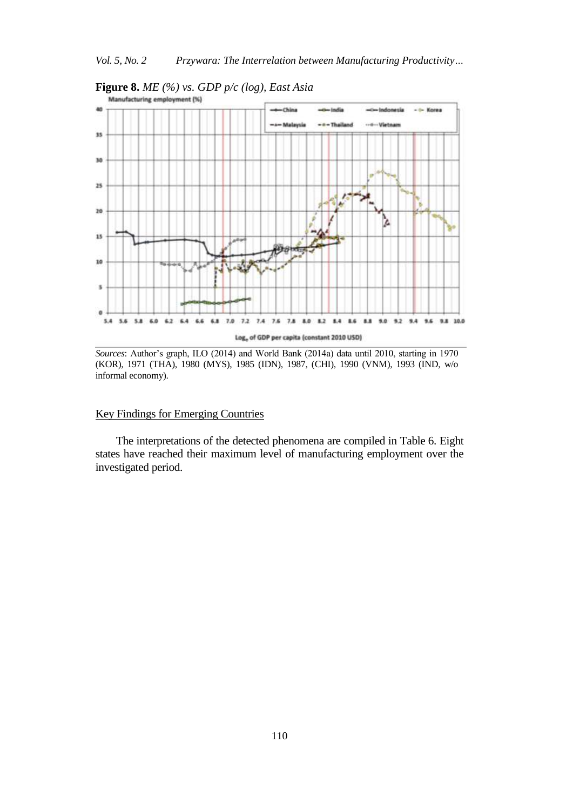

**Figure 8.** *ME (%) vs. GDP p/c (log), East Asia*

*Sources*: Author's graph, ILO (2014) and World Bank (2014a) data until 2010, starting in 1970 (KOR), 1971 (THA), 1980 (MYS), 1985 (IDN), 1987, (CHI), 1990 (VNM), 1993 (IND, w/o informal economy).

## Key Findings for Emerging Countries

The interpretations of the detected phenomena are compiled in Table 6. Eight states have reached their maximum level of manufacturing employment over the investigated period.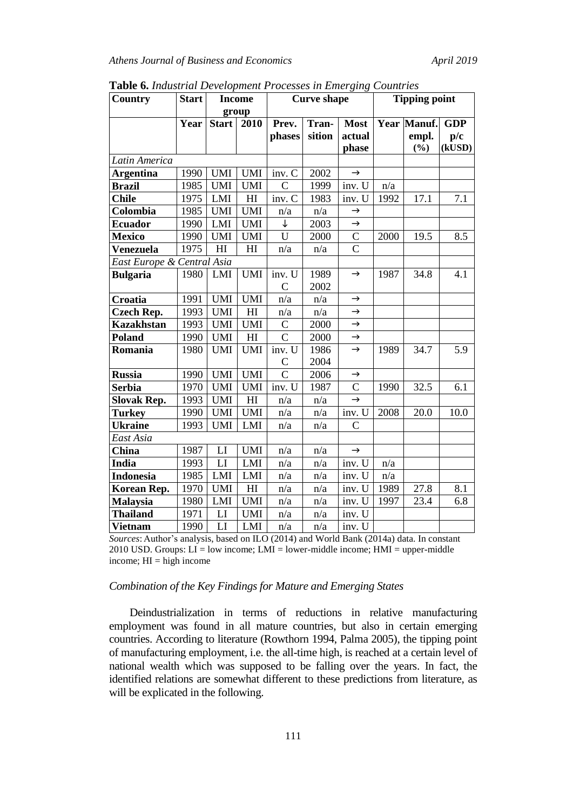| Country                        | <b>Start</b> |              | <b>Income</b>  | <b>Curve shape</b> |        |                | <b>Tipping point</b> |                    |            |  |
|--------------------------------|--------------|--------------|----------------|--------------------|--------|----------------|----------------------|--------------------|------------|--|
|                                |              |              | group          |                    |        |                |                      |                    |            |  |
|                                | Year         | <b>Start</b> | 2010           | Prev.              | Tran-  | <b>Most</b>    |                      | <b>Year Manuf.</b> | <b>GDP</b> |  |
|                                |              |              |                | phases             | sition | actual         |                      | empl.              | p/c        |  |
|                                |              |              |                |                    |        | phase          |                      | (%)                | (kUSD)     |  |
| Latin America                  |              |              |                |                    |        |                |                      |                    |            |  |
| <b>Argentina</b>               | 1990         | <b>UMI</b>   | <b>UMI</b>     | inv. C             | 2002   | $\rightarrow$  |                      |                    |            |  |
| <b>Brazil</b>                  | 1985         | <b>UMI</b>   | <b>UMI</b>     | $\mathcal{C}$      | 1999   | inv. U         | n/a                  |                    |            |  |
| <b>Chile</b>                   | 1975         | LMI          | HI             | inv. C             | 1983   | inv. U         | 1992                 | 17.1               | 7.1        |  |
| Colombia                       | 1985         | <b>UMI</b>   | <b>UMI</b>     | n/a                | n/a    | $\rightarrow$  |                      |                    |            |  |
| <b>Ecuador</b>                 | 1990         | LMI          | <b>UMI</b>     | ↓                  | 2003   | $\rightarrow$  |                      |                    |            |  |
| <b>Mexico</b>                  | 1990         | <b>UMI</b>   | <b>UMI</b>     | U                  | 2000   | $\mathsf{C}$   | 2000                 | 19.5               | 8.5        |  |
| Venezuela                      | 1975         | H            | H1             | n/a                | n/a    | $\overline{C}$ |                      |                    |            |  |
| East Europe & Central Asia     |              |              |                |                    |        |                |                      |                    |            |  |
| <b>Bulgaria</b>                | 1980         | LMI          | <b>UMI</b>     | inv. U             | 1989   | $\rightarrow$  | 1987                 | 34.8               | 4.1        |  |
|                                |              |              |                | $\overline{C}$     | 2002   |                |                      |                    |            |  |
| Croatia                        | 1991         | <b>UMI</b>   | <b>UMI</b>     | n/a                | n/a    | $\rightarrow$  |                      |                    |            |  |
| <b>Czech Rep.</b>              | 1993         | <b>UMI</b>   | H <sub>I</sub> | n/a                | n/a    | $\rightarrow$  |                      |                    |            |  |
| <b>Kazakhstan</b>              | 1993         | <b>UMI</b>   | <b>UMI</b>     | $\mathcal{C}$      | 2000   | $\rightarrow$  |                      |                    |            |  |
| Poland                         | 1990         | <b>UMI</b>   | H1             | $\overline{C}$     | 2000   | $\rightarrow$  |                      |                    |            |  |
| Romania                        | 1980         | <b>UMI</b>   | <b>UMI</b>     | inv. U             | 1986   | $\rightarrow$  | 1989                 | 34.7               | 5.9        |  |
|                                |              |              |                | $\mathcal{C}$      | 2004   |                |                      |                    |            |  |
| <b>Russia</b>                  | 1990         | <b>UMI</b>   | <b>UMI</b>     | $\overline{C}$     | 2006   | $\rightarrow$  |                      |                    |            |  |
| <b>Serbia</b>                  | 1970         | <b>UMI</b>   | <b>UMI</b>     | inv. U             | 1987   | $\mathcal{C}$  | 1990                 | 32.5               | 6.1        |  |
| <b>Slovak Rep.</b>             | 1993         | <b>UMI</b>   | H <sub>I</sub> | n/a                | n/a    | $\rightarrow$  |                      |                    |            |  |
| <b>Turkey</b>                  | 1990         | <b>UMI</b>   | <b>UMI</b>     | n/a                | n/a    | inv. U         | 2008                 | 20.0               | 10.0       |  |
| $\overline{\mathbf{U}}$ kraine | 1993         | <b>UMI</b>   | LMI            | n/a                | n/a    | $\overline{C}$ |                      |                    |            |  |
| East Asia                      |              |              |                |                    |        |                |                      |                    |            |  |
| China                          | 1987         | LI           | <b>UMI</b>     | n/a                | n/a    | $\rightarrow$  |                      |                    |            |  |
| <b>India</b>                   | 1993         | LI           | LMI            | n/a                | n/a    | inv. U         | n/a                  |                    |            |  |
| <b>Indonesia</b>               | 1985         | LMI          | LMI            | n/a                | n/a    | inv. U         | n/a                  |                    |            |  |
| Korean Rep.                    | 1970         | <b>UMI</b>   | H              | n/a                | n/a    | inv. U         | 1989                 | 27.8               | 8.1        |  |
| <b>Malaysia</b>                | 1980         | LMI          | <b>UMI</b>     | n/a                | n/a    | inv. U         | 1997                 | 23.4               | 6.8        |  |
| <b>Thailand</b>                | 1971         | LI           | <b>UMI</b>     | n/a                | n/a    | inv. U         |                      |                    |            |  |
| <b>Vietnam</b>                 | 1990         | LI           | <b>LMI</b>     | n/a                | n/a    | inv. U         |                      |                    |            |  |

**Table 6.** *Industrial Development Processes in Emerging Countries*

*Sources*: Author's analysis, based on ILO (2014) and World Bank (2014a) data. In constant 2010 USD. Groups:  $LI = low$  income;  $LMI = lower$ -middle income;  $HMI = upper$ -middle income;  $HI = high income$ 

## *Combination of the Key Findings for Mature and Emerging States*

Deindustrialization in terms of reductions in relative manufacturing employment was found in all mature countries, but also in certain emerging countries. According to literature (Rowthorn 1994, Palma 2005), the tipping point of manufacturing employment, i.e. the all-time high, is reached at a certain level of national wealth which was supposed to be falling over the years. In fact, the identified relations are somewhat different to these predictions from literature, as will be explicated in the following.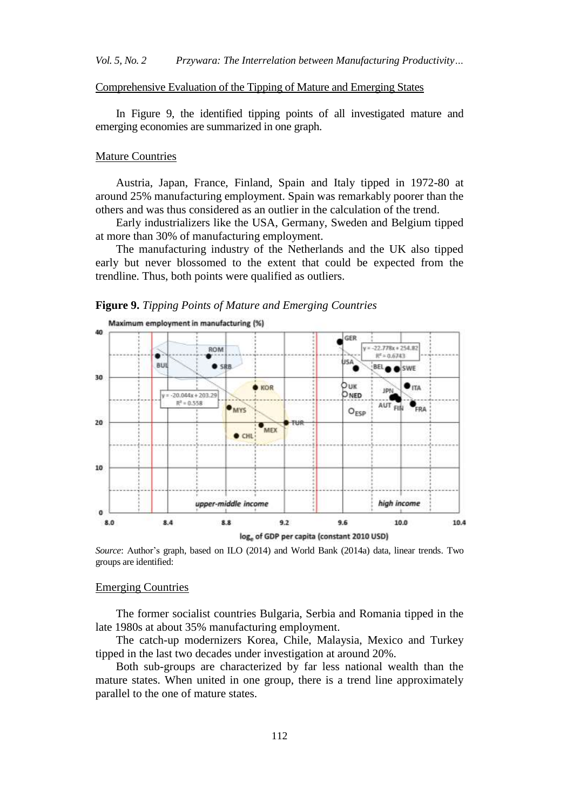#### Comprehensive Evaluation of the Tipping of Mature and Emerging States

In Figure 9, the identified tipping points of all investigated mature and emerging economies are summarized in one graph.

#### Mature Countries

Austria, Japan, France, Finland, Spain and Italy tipped in 1972-80 at around 25% manufacturing employment. Spain was remarkably poorer than the others and was thus considered as an outlier in the calculation of the trend.

Early industrializers like the USA, Germany, Sweden and Belgium tipped at more than 30% of manufacturing employment.

The manufacturing industry of the Netherlands and the UK also tipped early but never blossomed to the extent that could be expected from the trendline. Thus, both points were qualified as outliers.





Source: Author's graph, based on ILO (2014) and World Bank (2014a) data, linear trends. Two groups are identified:

#### Emerging Countries

The former socialist countries Bulgaria, Serbia and Romania tipped in the late 1980s at about 35% manufacturing employment.

The catch-up modernizers Korea, Chile, Malaysia, Mexico and Turkey tipped in the last two decades under investigation at around 20%.

Both sub-groups are characterized by far less national wealth than the mature states. When united in one group, there is a trend line approximately parallel to the one of mature states.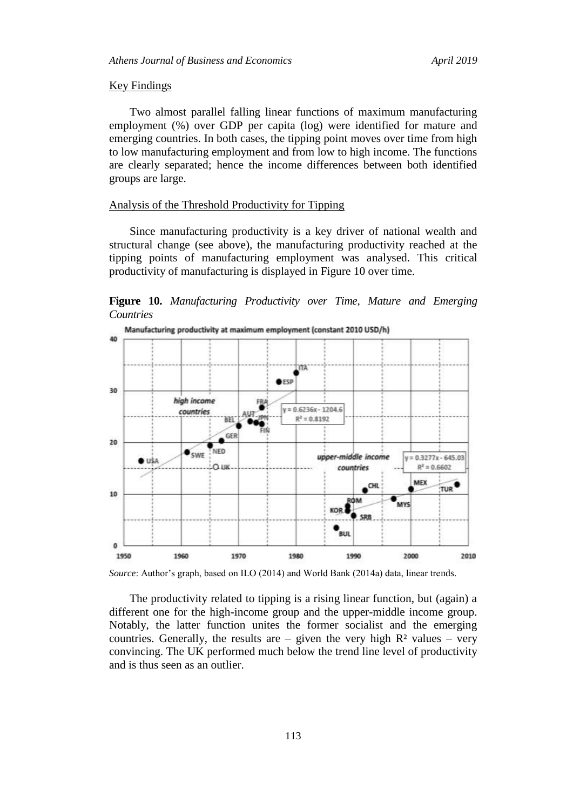#### Key Findings

Two almost parallel falling linear functions of maximum manufacturing employment (%) over GDP per capita (log) were identified for mature and emerging countries. In both cases, the tipping point moves over time from high to low manufacturing employment and from low to high income. The functions are clearly separated; hence the income differences between both identified groups are large.

## Analysis of the Threshold Productivity for Tipping

Since manufacturing productivity is a key driver of national wealth and structural change (see above), the manufacturing productivity reached at the tipping points of manufacturing employment was analysed. This critical productivity of manufacturing is displayed in Figure 10 over time.

**Figure 10.** *Manufacturing Productivity over Time, Mature and Emerging Countries*



Source: Author's graph, based on ILO (2014) and World Bank (2014a) data, linear trends.

The productivity related to tipping is a rising linear function, but (again) a different one for the high-income group and the upper-middle income group. Notably, the latter function unites the former socialist and the emerging countries. Generally, the results are – given the very high  $\mathbb{R}^2$  values – very convincing. The UK performed much below the trend line level of productivity and is thus seen as an outlier.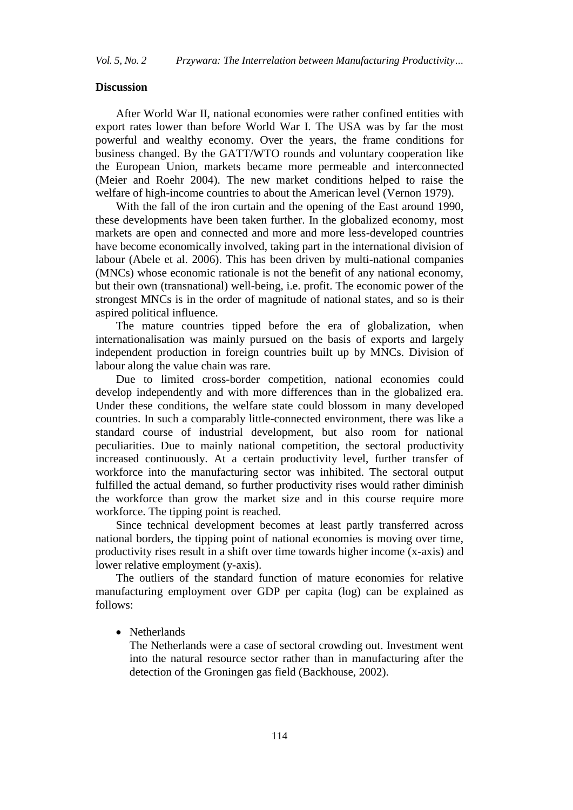## **Discussion**

After World War II, national economies were rather confined entities with export rates lower than before World War I. The USA was by far the most powerful and wealthy economy. Over the years, the frame conditions for business changed. By the GATT/WTO rounds and voluntary cooperation like the European Union, markets became more permeable and interconnected (Meier and Roehr 2004). The new market conditions helped to raise the welfare of high-income countries to about the American level (Vernon 1979).

With the fall of the iron curtain and the opening of the East around 1990, these developments have been taken further. In the globalized economy, most markets are open and connected and more and more less-developed countries have become economically involved, taking part in the international division of labour (Abele et al. 2006). This has been driven by multi-national companies (MNCs) whose economic rationale is not the benefit of any national economy, but their own (transnational) well-being, i.e. profit. The economic power of the strongest MNCs is in the order of magnitude of national states, and so is their aspired political influence.

The mature countries tipped before the era of globalization, when internationalisation was mainly pursued on the basis of exports and largely independent production in foreign countries built up by MNCs. Division of labour along the value chain was rare.

Due to limited cross-border competition, national economies could develop independently and with more differences than in the globalized era. Under these conditions, the welfare state could blossom in many developed countries. In such a comparably little-connected environment, there was like a standard course of industrial development, but also room for national peculiarities. Due to mainly national competition, the sectoral productivity increased continuously. At a certain productivity level, further transfer of workforce into the manufacturing sector was inhibited. The sectoral output fulfilled the actual demand, so further productivity rises would rather diminish the workforce than grow the market size and in this course require more workforce. The tipping point is reached.

Since technical development becomes at least partly transferred across national borders, the tipping point of national economies is moving over time, productivity rises result in a shift over time towards higher income (x-axis) and lower relative employment (y-axis).

The outliers of the standard function of mature economies for relative manufacturing employment over GDP per capita (log) can be explained as follows:

• Netherlands

The Netherlands were a case of sectoral crowding out. Investment went into the natural resource sector rather than in manufacturing after the detection of the Groningen gas field (Backhouse, 2002).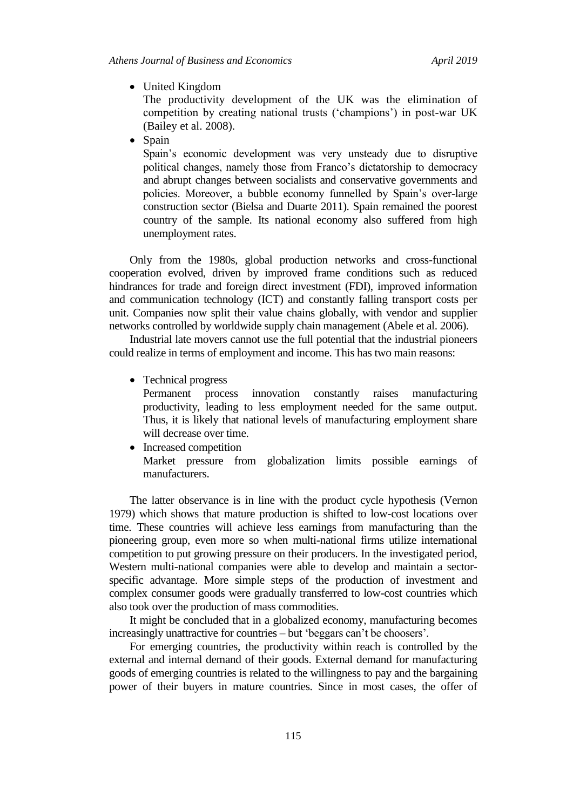United Kingdom

The productivity development of the UK was the elimination of competition by creating national trusts ("champions") in post-war UK (Bailey et al. 2008).

• Spain

Spain"s economic development was very unsteady due to disruptive political changes, namely those from Franco"s dictatorship to democracy and abrupt changes between socialists and conservative governments and policies. Moreover, a bubble economy funnelled by Spain"s over-large construction sector (Bielsa and Duarte 2011). Spain remained the poorest country of the sample. Its national economy also suffered from high unemployment rates.

Only from the 1980s, global production networks and cross-functional cooperation evolved, driven by improved frame conditions such as reduced hindrances for trade and foreign direct investment (FDI), improved information and communication technology (ICT) and constantly falling transport costs per unit. Companies now split their value chains globally, with vendor and supplier networks controlled by worldwide supply chain management (Abele et al. 2006).

Industrial late movers cannot use the full potential that the industrial pioneers could realize in terms of employment and income. This has two main reasons:

• Technical progress

Permanent process innovation constantly raises manufacturing productivity, leading to less employment needed for the same output. Thus, it is likely that national levels of manufacturing employment share will decrease over time.

• Increased competition Market pressure from globalization limits possible earnings of manufacturers.

The latter observance is in line with the product cycle hypothesis (Vernon 1979) which shows that mature production is shifted to low-cost locations over time. These countries will achieve less earnings from manufacturing than the pioneering group, even more so when multi-national firms utilize international competition to put growing pressure on their producers. In the investigated period, Western multi-national companies were able to develop and maintain a sectorspecific advantage. More simple steps of the production of investment and complex consumer goods were gradually transferred to low-cost countries which also took over the production of mass commodities.

It might be concluded that in a globalized economy, manufacturing becomes increasingly unattractive for countries – but "beggars can"t be choosers".

For emerging countries, the productivity within reach is controlled by the external and internal demand of their goods. External demand for manufacturing goods of emerging countries is related to the willingness to pay and the bargaining power of their buyers in mature countries. Since in most cases, the offer of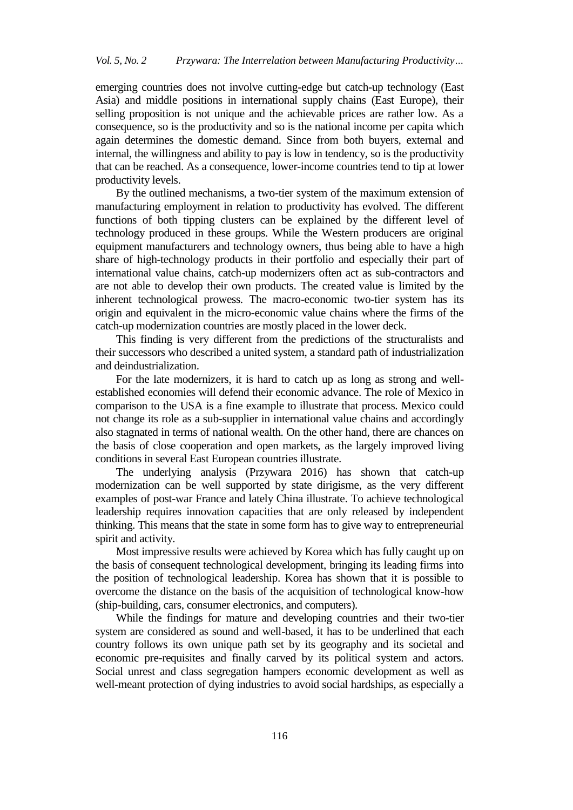emerging countries does not involve cutting-edge but catch-up technology (East Asia) and middle positions in international supply chains (East Europe), their selling proposition is not unique and the achievable prices are rather low. As a consequence, so is the productivity and so is the national income per capita which again determines the domestic demand. Since from both buyers, external and internal, the willingness and ability to pay is low in tendency, so is the productivity that can be reached. As a consequence, lower-income countries tend to tip at lower productivity levels.

By the outlined mechanisms, a two-tier system of the maximum extension of manufacturing employment in relation to productivity has evolved. The different functions of both tipping clusters can be explained by the different level of technology produced in these groups. While the Western producers are original equipment manufacturers and technology owners, thus being able to have a high share of high-technology products in their portfolio and especially their part of international value chains, catch-up modernizers often act as sub-contractors and are not able to develop their own products. The created value is limited by the inherent technological prowess. The macro-economic two-tier system has its origin and equivalent in the micro-economic value chains where the firms of the catch-up modernization countries are mostly placed in the lower deck.

This finding is very different from the predictions of the structuralists and their successors who described a united system, a standard path of industrialization and deindustrialization.

For the late modernizers, it is hard to catch up as long as strong and wellestablished economies will defend their economic advance. The role of Mexico in comparison to the USA is a fine example to illustrate that process. Mexico could not change its role as a sub-supplier in international value chains and accordingly also stagnated in terms of national wealth. On the other hand, there are chances on the basis of close cooperation and open markets, as the largely improved living conditions in several East European countries illustrate.

The underlying analysis (Przywara 2016) has shown that catch-up modernization can be well supported by state dirigisme, as the very different examples of post-war France and lately China illustrate. To achieve technological leadership requires innovation capacities that are only released by independent thinking. This means that the state in some form has to give way to entrepreneurial spirit and activity.

Most impressive results were achieved by Korea which has fully caught up on the basis of consequent technological development, bringing its leading firms into the position of technological leadership. Korea has shown that it is possible to overcome the distance on the basis of the acquisition of technological know-how (ship-building, cars, consumer electronics, and computers).

While the findings for mature and developing countries and their two-tier system are considered as sound and well-based, it has to be underlined that each country follows its own unique path set by its geography and its societal and economic pre-requisites and finally carved by its political system and actors. Social unrest and class segregation hampers economic development as well as well-meant protection of dying industries to avoid social hardships, as especially a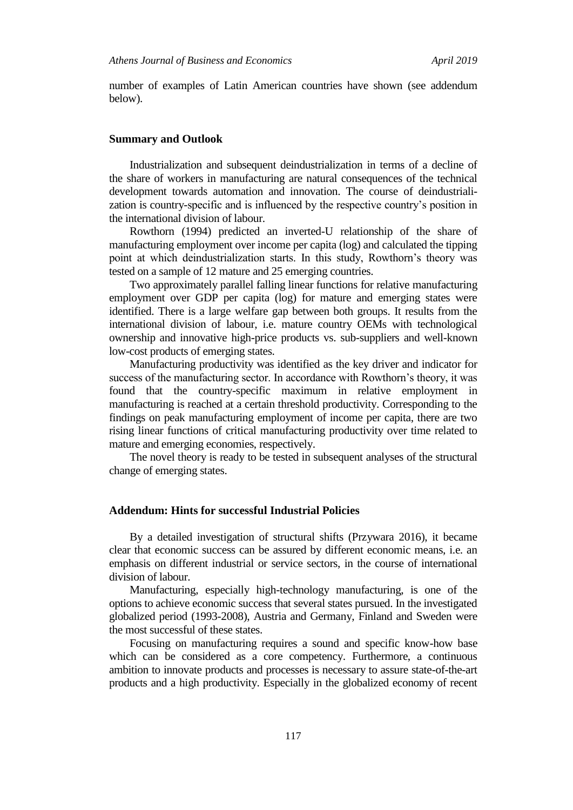number of examples of Latin American countries have shown (see addendum below).

#### **Summary and Outlook**

Industrialization and subsequent deindustrialization in terms of a decline of the share of workers in manufacturing are natural consequences of the technical development towards automation and innovation. The course of deindustrialization is country-specific and is influenced by the respective country"s position in the international division of labour.

Rowthorn (1994) predicted an inverted-U relationship of the share of manufacturing employment over income per capita (log) and calculated the tipping point at which deindustrialization starts. In this study, Rowthorn's theory was tested on a sample of 12 mature and 25 emerging countries.

Two approximately parallel falling linear functions for relative manufacturing employment over GDP per capita (log) for mature and emerging states were identified. There is a large welfare gap between both groups. It results from the international division of labour, i.e. mature country OEMs with technological ownership and innovative high-price products vs. sub-suppliers and well-known low-cost products of emerging states.

Manufacturing productivity was identified as the key driver and indicator for success of the manufacturing sector. In accordance with Rowthorn's theory, it was found that the country-specific maximum in relative employment in manufacturing is reached at a certain threshold productivity. Corresponding to the findings on peak manufacturing employment of income per capita, there are two rising linear functions of critical manufacturing productivity over time related to mature and emerging economies, respectively.

The novel theory is ready to be tested in subsequent analyses of the structural change of emerging states.

## **Addendum: Hints for successful Industrial Policies**

By a detailed investigation of structural shifts (Przywara 2016), it became clear that economic success can be assured by different economic means, i.e. an emphasis on different industrial or service sectors, in the course of international division of labour.

Manufacturing, especially high-technology manufacturing, is one of the options to achieve economic success that several states pursued. In the investigated globalized period (1993-2008), Austria and Germany, Finland and Sweden were the most successful of these states.

Focusing on manufacturing requires a sound and specific know-how base which can be considered as a core competency. Furthermore, a continuous ambition to innovate products and processes is necessary to assure state-of-the-art products and a high productivity. Especially in the globalized economy of recent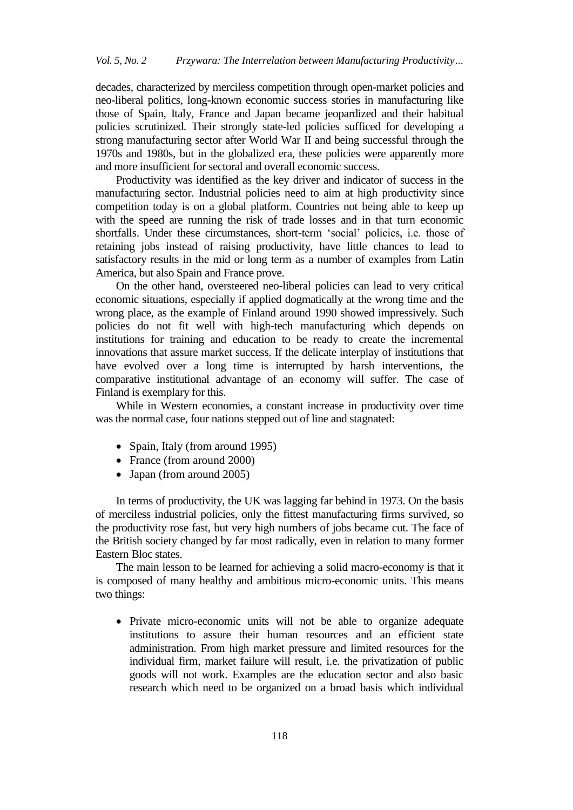decades, characterized by merciless competition through open-market policies and neo-liberal politics, long-known economic success stories in manufacturing like those of Spain, Italy, France and Japan became jeopardized and their habitual policies scrutinized. Their strongly state-led policies sufficed for developing a strong manufacturing sector after World War II and being successful through the 1970s and 1980s, but in the globalized era, these policies were apparently more and more insufficient for sectoral and overall economic success.

Productivity was identified as the key driver and indicator of success in the manufacturing sector. Industrial policies need to aim at high productivity since competition today is on a global platform. Countries not being able to keep up with the speed are running the risk of trade losses and in that turn economic shortfalls. Under these circumstances, short-term "social" policies, i.e. those of retaining jobs instead of raising productivity, have little chances to lead to satisfactory results in the mid or long term as a number of examples from Latin America, but also Spain and France prove.

On the other hand, oversteered neo-liberal policies can lead to very critical economic situations, especially if applied dogmatically at the wrong time and the wrong place, as the example of Finland around 1990 showed impressively. Such policies do not fit well with high-tech manufacturing which depends on institutions for training and education to be ready to create the incremental innovations that assure market success. If the delicate interplay of institutions that have evolved over a long time is interrupted by harsh interventions, the comparative institutional advantage of an economy will suffer. The case of Finland is exemplary for this.

While in Western economies, a constant increase in productivity over time was the normal case, four nations stepped out of line and stagnated:

- Spain, Italy (from around 1995)
- France (from around 2000)
- Japan (from around 2005)

In terms of productivity, the UK was lagging far behind in 1973. On the basis of merciless industrial policies, only the fittest manufacturing firms survived, so the productivity rose fast, but very high numbers of jobs became cut. The face of the British society changed by far most radically, even in relation to many former Eastern Bloc states.

The main lesson to be learned for achieving a solid macro-economy is that it is composed of many healthy and ambitious micro-economic units. This means two things:

 Private micro-economic units will not be able to organize adequate institutions to assure their human resources and an efficient state administration. From high market pressure and limited resources for the individual firm, market failure will result, i.e. the privatization of public goods will not work. Examples are the education sector and also basic research which need to be organized on a broad basis which individual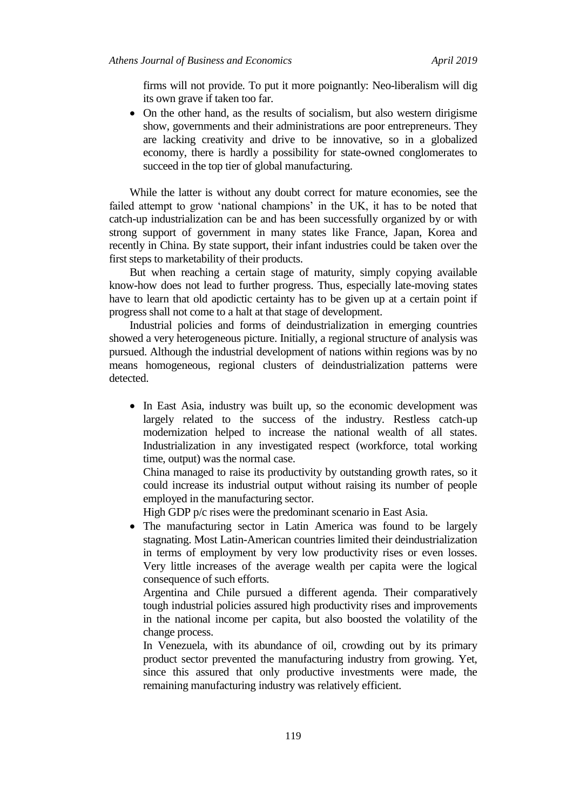firms will not provide. To put it more poignantly: Neo-liberalism will dig its own grave if taken too far.

• On the other hand, as the results of socialism, but also western dirigisme show, governments and their administrations are poor entrepreneurs. They are lacking creativity and drive to be innovative, so in a globalized economy, there is hardly a possibility for state-owned conglomerates to succeed in the top tier of global manufacturing.

While the latter is without any doubt correct for mature economies, see the failed attempt to grow 'national champions' in the UK, it has to be noted that catch-up industrialization can be and has been successfully organized by or with strong support of government in many states like France, Japan, Korea and recently in China. By state support, their infant industries could be taken over the first steps to marketability of their products.

But when reaching a certain stage of maturity, simply copying available know-how does not lead to further progress. Thus, especially late-moving states have to learn that old apodictic certainty has to be given up at a certain point if progress shall not come to a halt at that stage of development.

Industrial policies and forms of deindustrialization in emerging countries showed a very heterogeneous picture. Initially, a regional structure of analysis was pursued. Although the industrial development of nations within regions was by no means homogeneous, regional clusters of deindustrialization patterns were detected.

• In East Asia, industry was built up, so the economic development was largely related to the success of the industry. Restless catch-up modernization helped to increase the national wealth of all states. Industrialization in any investigated respect (workforce, total working time, output) was the normal case.

China managed to raise its productivity by outstanding growth rates, so it could increase its industrial output without raising its number of people employed in the manufacturing sector.

High GDP p/c rises were the predominant scenario in East Asia.

• The manufacturing sector in Latin America was found to be largely stagnating. Most Latin-American countries limited their deindustrialization in terms of employment by very low productivity rises or even losses. Very little increases of the average wealth per capita were the logical consequence of such efforts.

Argentina and Chile pursued a different agenda. Their comparatively tough industrial policies assured high productivity rises and improvements in the national income per capita, but also boosted the volatility of the change process.

In Venezuela, with its abundance of oil, crowding out by its primary product sector prevented the manufacturing industry from growing. Yet, since this assured that only productive investments were made, the remaining manufacturing industry was relatively efficient.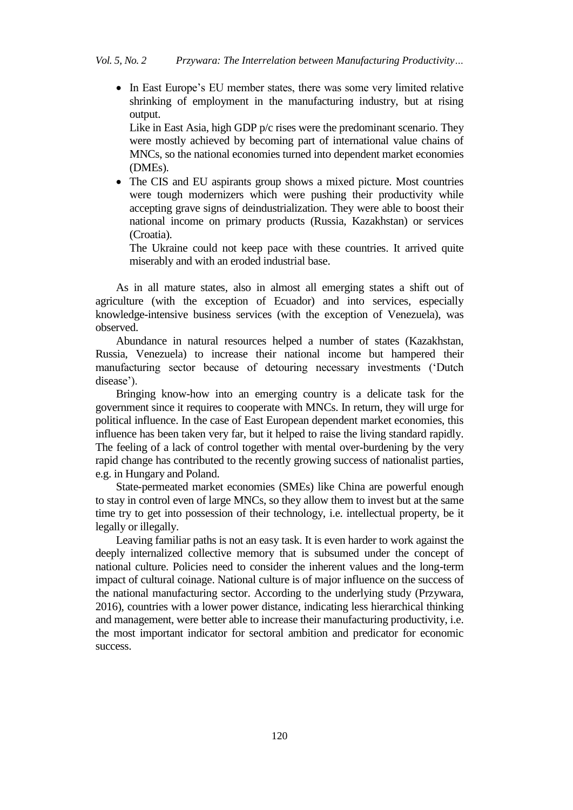• In East Europe's EU member states, there was some very limited relative shrinking of employment in the manufacturing industry, but at rising output.

Like in East Asia, high GDP p/c rises were the predominant scenario. They were mostly achieved by becoming part of international value chains of MNCs, so the national economies turned into dependent market economies (DMEs).

• The CIS and EU aspirants group shows a mixed picture. Most countries were tough modernizers which were pushing their productivity while accepting grave signs of deindustrialization. They were able to boost their national income on primary products (Russia, Kazakhstan) or services (Croatia).

The Ukraine could not keep pace with these countries. It arrived quite miserably and with an eroded industrial base.

As in all mature states, also in almost all emerging states a shift out of agriculture (with the exception of Ecuador) and into services, especially knowledge-intensive business services (with the exception of Venezuela), was observed.

Abundance in natural resources helped a number of states (Kazakhstan, Russia, Venezuela) to increase their national income but hampered their manufacturing sector because of detouring necessary investments ("Dutch disease').

Bringing know-how into an emerging country is a delicate task for the government since it requires to cooperate with MNCs. In return, they will urge for political influence. In the case of East European dependent market economies, this influence has been taken very far, but it helped to raise the living standard rapidly. The feeling of a lack of control together with mental over-burdening by the very rapid change has contributed to the recently growing success of nationalist parties, e.g. in Hungary and Poland.

State-permeated market economies (SMEs) like China are powerful enough to stay in control even of large MNCs, so they allow them to invest but at the same time try to get into possession of their technology, i.e. intellectual property, be it legally or illegally.

Leaving familiar paths is not an easy task. It is even harder to work against the deeply internalized collective memory that is subsumed under the concept of national culture. Policies need to consider the inherent values and the long-term impact of cultural coinage. National culture is of major influence on the success of the national manufacturing sector. According to the underlying study (Przywara, 2016), countries with a lower power distance, indicating less hierarchical thinking and management, were better able to increase their manufacturing productivity, i.e. the most important indicator for sectoral ambition and predicator for economic success.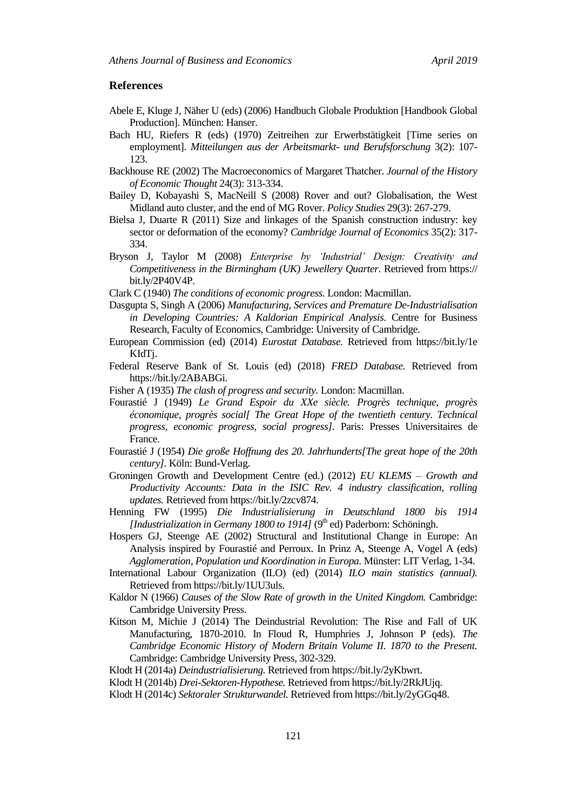#### **References**

- Abele E, Kluge J, Näher U (eds) (2006) Handbuch Globale Produktion [Handbook Global Production]. München: Hanser.
- Bach HU, Riefers R (eds) (1970) Zeitreihen zur Erwerbstätigkeit [Time series on employment]. *Mitteilungen aus der Arbeitsmarkt- und Berufsforschung* 3(2): 107- 123.
- Backhouse RE (2002) The Macroeconomics of Margaret Thatcher. *Journal of the History of Economic Thought* 24(3): 313-334.
- Bailey D, Kobayashi S, MacNeill S (2008) Rover and out? Globalisation, the West Midland auto cluster, and the end of MG Rover. *Policy Studies* 29(3): 267-279.
- Bielsa J, Duarte R (2011) Size and linkages of the Spanish construction industry: key sector or deformation of the economy? *Cambridge Journal of Economics* 35(2): 317- 334.
- Bryson J, Taylor M (2008) *Enterprise by 'Industrial' Design: Creativity and Competitiveness in the Birmingham (UK) Jewellery Quarter*. Retrieved from https:// bit.ly/2P40V4P.
- Clark C (1940) *The conditions of economic progress.* London: Macmillan.
- Dasgupta S, Singh A (2006) *Manufacturing, Services and Premature De-Industrialisation in Developing Countries: A Kaldorian Empirical Analysis.* Centre for Business Research, Faculty of Economics, Cambridge: University of Cambridge.
- European Commission (ed) (2014) *Eurostat Database.* Retrieved from https://bit.ly/1e KIdT<sub>i</sub>.
- Federal Reserve Bank of St. Louis (ed) (2018) *FRED Database.* Retrieved from https://bit.ly/2ABABGi.
- Fisher A (1935) *The clash of progress and security.* London: Macmillan.
- Fourastié J (1949) *Le Grand Espoir du XXe siècle. Progrès technique, progrès économique, progrès social[ The Great Hope of the twentieth century. Technical progress, economic progress, social progress].* Paris: Presses Universitaires de France.
- Fourastié J (1954) *Die große Hoffnung des 20. Jahrhunderts[The great hope of the 20th century].* Köln: Bund-Verlag.
- Groningen Growth and Development Centre (ed.) (2012) *EU KLEMS – Growth and Productivity Accounts: Data in the ISIC Rev. 4 industry classification, rolling updates.* Retrieved from https://bit.ly/2zcv874.
- Henning FW (1995) *Die Industrialisierung in Deutschland 1800 bis 1914 [Industrialization in Germany 1800 to 1914]* (9<sup>th</sup> ed) Paderborn: Schöningh.
- Hospers GJ, Steenge AE (2002) Structural and Institutional Change in Europe: An Analysis inspired by Fourastié and Perroux. In Prinz A, Steenge A, Vogel A (eds) *Agglomeration, Population und Koordination in Europa.* Münster: LIT Verlag, 1-34.
- International Labour Organization (ILO) (ed) (2014) *ILO main statistics (annual).*  Retrieved from https://bit.ly/1UU3uls.
- Kaldor N (1966) *Causes of the Slow Rate of growth in the United Kingdom.* Cambridge: Cambridge University Press.
- Kitson M, Michie J (2014) The Deindustrial Revolution: The Rise and Fall of UK Manufacturing, 1870-2010. In Floud R, Humphries J, Johnson P (eds). *The Cambridge Economic History of Modern Britain Volume II. 1870 to the Present.*  Cambridge: Cambridge University Press, 302-329.
- Klodt H (2014a) *Deindustrialisierung.* Retrieved from https://bit.ly/2yKbwrt.
- Klodt H (2014b) *Drei-Sektoren-Hypothese.* Retrieved from https://bit.ly/2RkJUjq.
- Klodt H (2014c) *Sektoraler Strukturwandel.* Retrieved from https://bit.ly/2yGGq48.